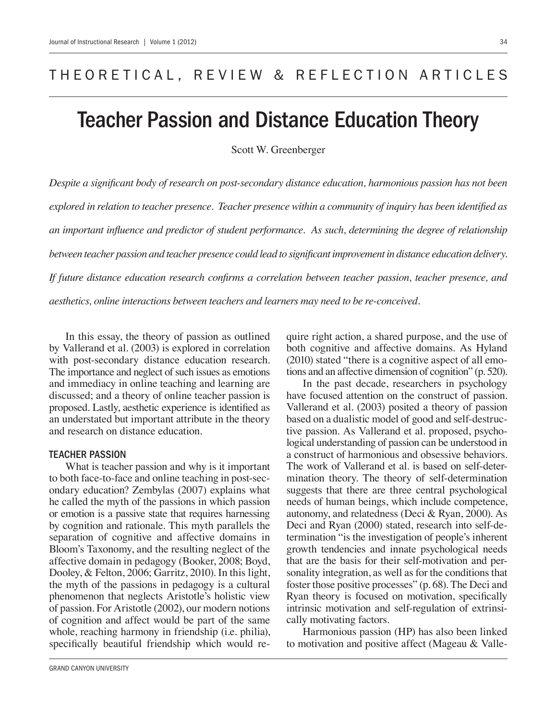## THEORETICAL, REVIEW & REFLECTION ARTICLES

# Teacher Passion and Distance Education Theory

Scott W. Greenberger

*Despite a significant body of research on post-secondary distance education, harmonious passion has not been explored in relation to teacher presence. Teacher presence within a community of inquiry has been identified as an important influence and predictor of student performance. As such, determining the degree of relationship between teacher passion and teacher presence could lead to significant improvement in distance education delivery. If future distance education research confirms a correlation between teacher passion, teacher presence, and aesthetics, online interactions between teachers and learners may need to be re-conceived.*

In this essay, the theory of passion as outlined by Vallerand et al. (2003) is explored in correlation with post-secondary distance education research. The importance and neglect of such issues as emotions and immediacy in online teaching and learning are discussed; and a theory of online teacher passion is proposed. Lastly, aesthetic experience is identified as an understated but important attribute in the theory and research on distance education.

#### Teacher Passion

What is teacher passion and why is it important to both face-to-face and online teaching in post-secondary education? Zembylas (2007) explains what he called the myth of the passions in which passion or emotion is a passive state that requires harnessing by cognition and rationale. This myth parallels the separation of cognitive and affective domains in Bloom's Taxonomy, and the resulting neglect of the affective domain in pedagogy (Booker, 2008; Boyd, Dooley, & Felton, 2006; Garritz, 2010). In this light, the myth of the passions in pedagogy is a cultural phenomenon that neglects Aristotle's holistic view of passion. For Aristotle (2002), our modern notions of cognition and affect would be part of the same whole, reaching harmony in friendship (i.e. philia), specifically beautiful friendship which would require right action, a shared purpose, and the use of both cognitive and affective domains. As Hyland (2010) stated "there is a cognitive aspect of all emotions and an affective dimension of cognition" (p. 520).

In the past decade, researchers in psychology have focused attention on the construct of passion. Vallerand et al. (2003) posited a theory of passion based on a dualistic model of good and self-destructive passion. As Vallerand et al. proposed, psychological understanding of passion can be understood in a construct of harmonious and obsessive behaviors. The work of Vallerand et al. is based on self-determination theory. The theory of self-determination suggests that there are three central psychological needs of human beings, which include competence, autonomy, and relatedness (Deci & Ryan, 2000). As Deci and Ryan (2000) stated, research into self-determination "is the investigation of people's inherent growth tendencies and innate psychological needs that are the basis for their self-motivation and personality integration, as well as for the conditions that foster those positive processes" (p. 68). The Deci and Ryan theory is focused on motivation, specifically intrinsic motivation and self-regulation of extrinsically motivating factors.

Harmonious passion (HP) has also been linked to motivation and positive affect (Mageau & Valle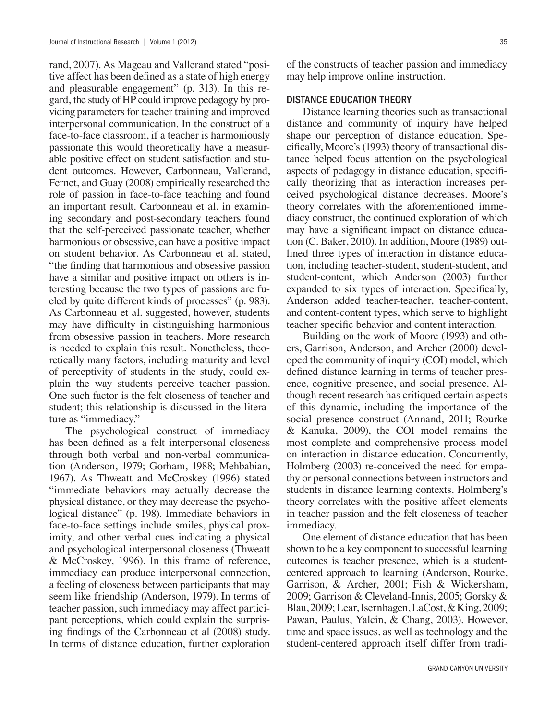rand, 2007). As Mageau and Vallerand stated "positive affect has been defined as a state of high energy and pleasurable engagement" (p. 313). In this regard, the study of HP could improve pedagogy by providing parameters for teacher training and improved interpersonal communication. In the construct of a face-to-face classroom, if a teacher is harmoniously passionate this would theoretically have a measurable positive effect on student satisfaction and student outcomes. However, Carbonneau, Vallerand, Fernet, and Guay (2008) empirically researched the role of passion in face-to-face teaching and found an important result. Carbonneau et al. in examining secondary and post-secondary teachers found that the self-perceived passionate teacher, whether harmonious or obsessive, can have a positive impact on student behavior. As Carbonneau et al. stated, "the finding that harmonious and obsessive passion have a similar and positive impact on others is interesting because the two types of passions are fueled by quite different kinds of processes" (p. 983). As Carbonneau et al. suggested, however, students may have difficulty in distinguishing harmonious from obsessive passion in teachers. More research is needed to explain this result. Nonetheless, theoretically many factors, including maturity and level of perceptivity of students in the study, could explain the way students perceive teacher passion. One such factor is the felt closeness of teacher and student; this relationship is discussed in the literature as "immediacy."

The psychological construct of immediacy has been defined as a felt interpersonal closeness through both verbal and non-verbal communication (Anderson, 1979; Gorham, 1988; Mehbabian, 1967). As Thweatt and McCroskey (1996) stated "immediate behaviors may actually decrease the physical distance, or they may decrease the psychological distance" (p. 198). Immediate behaviors in face-to-face settings include smiles, physical proximity, and other verbal cues indicating a physical and psychological interpersonal closeness (Thweatt & McCroskey, 1996). In this frame of reference, immediacy can produce interpersonal connection, a feeling of closeness between participants that may seem like friendship (Anderson, 1979). In terms of teacher passion, such immediacy may affect participant perceptions, which could explain the surprising findings of the Carbonneau et al (2008) study. In terms of distance education, further exploration of the constructs of teacher passion and immediacy may help improve online instruction.

#### Distance Education Theory

Distance learning theories such as transactional distance and community of inquiry have helped shape our perception of distance education. Specifically, Moore's (1993) theory of transactional distance helped focus attention on the psychological aspects of pedagogy in distance education, specifically theorizing that as interaction increases perceived psychological distance decreases. Moore's theory correlates with the aforementioned immediacy construct, the continued exploration of which may have a significant impact on distance education (C. Baker, 2010). In addition, Moore (1989) outlined three types of interaction in distance education, including teacher-student, student-student, and student-content, which Anderson (2003) further expanded to six types of interaction. Specifically, Anderson added teacher-teacher, teacher-content, and content-content types, which serve to highlight teacher specific behavior and content interaction.

Building on the work of Moore (1993) and others, Garrison, Anderson, and Archer (2000) developed the community of inquiry (COI) model, which defined distance learning in terms of teacher presence, cognitive presence, and social presence. Although recent research has critiqued certain aspects of this dynamic, including the importance of the social presence construct (Annand, 2011; Rourke & Kanuka, 2009), the COI model remains the most complete and comprehensive process model on interaction in distance education. Concurrently, Holmberg (2003) re-conceived the need for empathy or personal connections between instructors and students in distance learning contexts. Holmberg's theory correlates with the positive affect elements in teacher passion and the felt closeness of teacher immediacy.

One element of distance education that has been shown to be a key component to successful learning outcomes is teacher presence, which is a studentcentered approach to learning (Anderson, Rourke, Garrison, & Archer, 2001; Fish & Wickersham, 2009; Garrison & Cleveland-Innis, 2005; Gorsky & Blau, 2009; Lear, Isernhagen, LaCost, & King, 2009; Pawan, Paulus, Yalcin, & Chang, 2003). However, time and space issues, as well as technology and the student-centered approach itself differ from tradi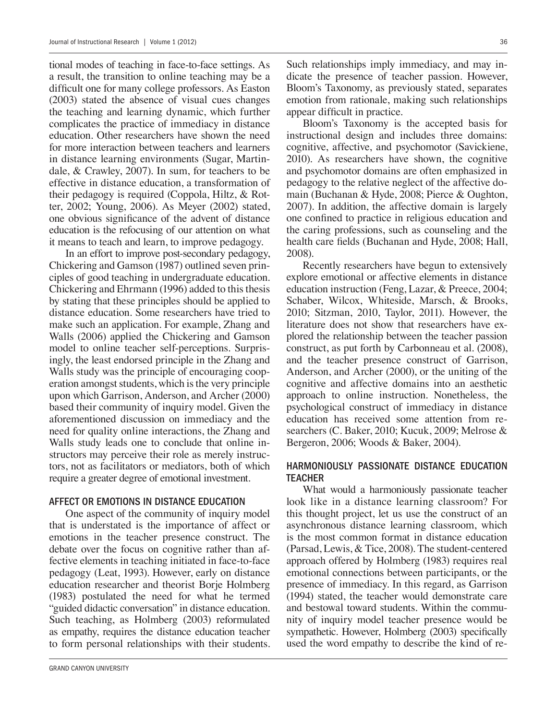tional modes of teaching in face-to-face settings. As a result, the transition to online teaching may be a difficult one for many college professors. As Easton (2003) stated the absence of visual cues changes the teaching and learning dynamic, which further complicates the practice of immediacy in distance education. Other researchers have shown the need for more interaction between teachers and learners in distance learning environments (Sugar, Martindale, & Crawley, 2007). In sum, for teachers to be effective in distance education, a transformation of their pedagogy is required (Coppola, Hiltz, & Rotter, 2002; Young, 2006). As Meyer (2002) stated, one obvious significance of the advent of distance education is the refocusing of our attention on what it means to teach and learn, to improve pedagogy.

In an effort to improve post-secondary pedagogy, Chickering and Gamson (1987) outlined seven principles of good teaching in undergraduate education. Chickering and Ehrmann (1996) added to this thesis by stating that these principles should be applied to distance education. Some researchers have tried to make such an application. For example, Zhang and Walls (2006) applied the Chickering and Gamson model to online teacher self-perceptions. Surprisingly, the least endorsed principle in the Zhang and Walls study was the principle of encouraging cooperation amongst students, which is the very principle upon which Garrison, Anderson, and Archer (2000) based their community of inquiry model. Given the aforementioned discussion on immediacy and the need for quality online interactions, the Zhang and Walls study leads one to conclude that online instructors may perceive their role as merely instructors, not as facilitators or mediators, both of which require a greater degree of emotional investment.

#### Affect or Emotions in Distance Education

One aspect of the community of inquiry model that is understated is the importance of affect or emotions in the teacher presence construct. The debate over the focus on cognitive rather than affective elements in teaching initiated in face-to-face pedagogy (Leat, 1993). However, early on distance education researcher and theorist Borje Holmberg (1983) postulated the need for what he termed "guided didactic conversation" in distance education. Such teaching, as Holmberg (2003) reformulated as empathy, requires the distance education teacher to form personal relationships with their students.

Bloom's Taxonomy is the accepted basis for instructional design and includes three domains: cognitive, affective, and psychomotor (Savickiene, 2010). As researchers have shown, the cognitive and psychomotor domains are often emphasized in pedagogy to the relative neglect of the affective domain (Buchanan & Hyde, 2008; Pierce & Oughton, 2007). In addition, the affective domain is largely one confined to practice in religious education and the caring professions, such as counseling and the health care fields (Buchanan and Hyde, 2008; Hall, 2008).

Recently researchers have begun to extensively explore emotional or affective elements in distance education instruction (Feng, Lazar, & Preece, 2004; Schaber, Wilcox, Whiteside, Marsch, & Brooks, 2010; Sitzman, 2010, Taylor, 2011). However, the literature does not show that researchers have explored the relationship between the teacher passion construct, as put forth by Carbonneau et al. (2008), and the teacher presence construct of Garrison, Anderson, and Archer (2000), or the uniting of the cognitive and affective domains into an aesthetic approach to online instruction. Nonetheless, the psychological construct of immediacy in distance education has received some attention from researchers (C. Baker, 2010; Kucuk, 2009; Melrose & Bergeron, 2006; Woods & Baker, 2004).

#### Harmoniously Passionate Distance Education **TEACHER**

What would a harmoniously passionate teacher look like in a distance learning classroom? For this thought project, let us use the construct of an asynchronous distance learning classroom, which is the most common format in distance education (Parsad, Lewis, & Tice, 2008). The student-centered approach offered by Holmberg (1983) requires real emotional connections between participants, or the presence of immediacy. In this regard, as Garrison (1994) stated, the teacher would demonstrate care and bestowal toward students. Within the community of inquiry model teacher presence would be sympathetic. However, Holmberg (2003) specifically used the word empathy to describe the kind of re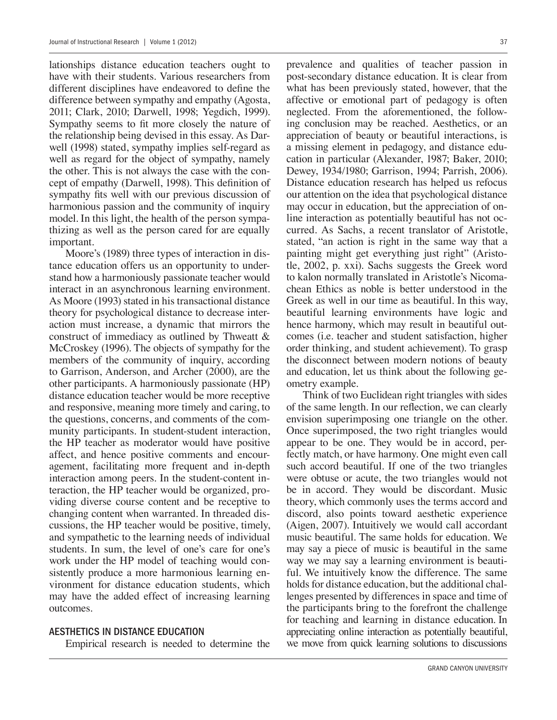lationships distance education teachers ought to have with their students. Various researchers from different disciplines have endeavored to define the difference between sympathy and empathy (Agosta, 2011; Clark, 2010; Darwell, 1998; Yegdich, 1999). Sympathy seems to fit more closely the nature of the relationship being devised in this essay. As Darwell (1998) stated, sympathy implies self-regard as well as regard for the object of sympathy, namely the other. This is not always the case with the concept of empathy (Darwell, 1998). This definition of sympathy fits well with our previous discussion of harmonious passion and the community of inquiry model. In this light, the health of the person sympathizing as well as the person cared for are equally important.

Moore's (1989) three types of interaction in distance education offers us an opportunity to understand how a harmoniously passionate teacher would interact in an asynchronous learning environment. As Moore (1993) stated in his transactional distance theory for psychological distance to decrease interaction must increase, a dynamic that mirrors the construct of immediacy as outlined by Thweatt & McCroskey (1996). The objects of sympathy for the members of the community of inquiry, according to Garrison, Anderson, and Archer (2000), are the other participants. A harmoniously passionate (HP) distance education teacher would be more receptive and responsive, meaning more timely and caring, to the questions, concerns, and comments of the community participants. In student-student interaction, the HP teacher as moderator would have positive affect, and hence positive comments and encouragement, facilitating more frequent and in-depth interaction among peers. In the student-content interaction, the HP teacher would be organized, providing diverse course content and be receptive to changing content when warranted. In threaded discussions, the HP teacher would be positive, timely, and sympathetic to the learning needs of individual students. In sum, the level of one's care for one's work under the HP model of teaching would consistently produce a more harmonious learning environment for distance education students, which may have the added effect of increasing learning outcomes.

#### Aesthetics in Distance Education

Empirical research is needed to determine the

prevalence and qualities of teacher passion in post-secondary distance education. It is clear from what has been previously stated, however, that the affective or emotional part of pedagogy is often neglected. From the aforementioned, the following conclusion may be reached. Aesthetics, or an appreciation of beauty or beautiful interactions, is a missing element in pedagogy, and distance education in particular (Alexander, 1987; Baker, 2010; Dewey, 1934/1980; Garrison, 1994; Parrish, 2006). Distance education research has helped us refocus our attention on the idea that psychological distance may occur in education, but the appreciation of online interaction as potentially beautiful has not occurred. As Sachs, a recent translator of Aristotle, stated, "an action is right in the same way that a painting might get everything just right" (Aristotle, 2002, p. xxi). Sachs suggests the Greek word to kalon normally translated in Aristotle's Nicomachean Ethics as noble is better understood in the Greek as well in our time as beautiful. In this way, beautiful learning environments have logic and hence harmony, which may result in beautiful outcomes (i.e. teacher and student satisfaction, higher order thinking, and student achievement). To grasp the disconnect between modern notions of beauty and education, let us think about the following geometry example.

Think of two Euclidean right triangles with sides of the same length. In our reflection, we can clearly envision superimposing one triangle on the other. Once superimposed, the two right triangles would appear to be one. They would be in accord, perfectly match, or have harmony. One might even call such accord beautiful. If one of the two triangles were obtuse or acute, the two triangles would not be in accord. They would be discordant. Music theory, which commonly uses the terms accord and discord, also points toward aesthetic experience (Aigen, 2007). Intuitively we would call accordant music beautiful. The same holds for education. We may say a piece of music is beautiful in the same way we may say a learning environment is beautiful. We intuitively know the difference. The same holds for distance education, but the additional challenges presented by differences in space and time of the participants bring to the forefront the challenge for teaching and learning in distance education. In appreciating online interaction as potentially beautiful, we move from quick learning solutions to discussions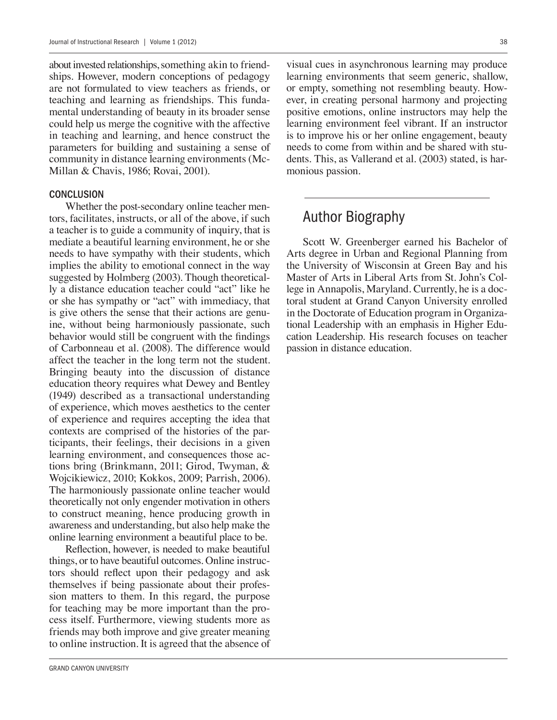about invested relationships, something akin to friendships. However, modern conceptions of pedagogy are not formulated to view teachers as friends, or teaching and learning as friendships. This fundamental understanding of beauty in its broader sense could help us merge the cognitive with the affective in teaching and learning, and hence construct the parameters for building and sustaining a sense of community in distance learning environments (Mc-Millan & Chavis, 1986; Rovai, 2001).

#### **CONCLUSION**

Whether the post-secondary online teacher mentors, facilitates, instructs, or all of the above, if such a teacher is to guide a community of inquiry, that is mediate a beautiful learning environment, he or she needs to have sympathy with their students, which implies the ability to emotional connect in the way suggested by Holmberg (2003). Though theoretically a distance education teacher could "act" like he or she has sympathy or "act" with immediacy, that is give others the sense that their actions are genuine, without being harmoniously passionate, such behavior would still be congruent with the findings of Carbonneau et al. (2008). The difference would affect the teacher in the long term not the student. Bringing beauty into the discussion of distance education theory requires what Dewey and Bentley (1949) described as a transactional understanding of experience, which moves aesthetics to the center of experience and requires accepting the idea that contexts are comprised of the histories of the participants, their feelings, their decisions in a given learning environment, and consequences those actions bring (Brinkmann, 2011; Girod, Twyman, & Wojcikiewicz, 2010; Kokkos, 2009; Parrish, 2006). The harmoniously passionate online teacher would theoretically not only engender motivation in others to construct meaning, hence producing growth in awareness and understanding, but also help make the online learning environment a beautiful place to be.

Reflection, however, is needed to make beautiful things, or to have beautiful outcomes. Online instructors should reflect upon their pedagogy and ask themselves if being passionate about their profession matters to them. In this regard, the purpose for teaching may be more important than the process itself. Furthermore, viewing students more as friends may both improve and give greater meaning to online instruction. It is agreed that the absence of visual cues in asynchronous learning may produce learning environments that seem generic, shallow, or empty, something not resembling beauty. However, in creating personal harmony and projecting positive emotions, online instructors may help the learning environment feel vibrant. If an instructor is to improve his or her online engagement, beauty needs to come from within and be shared with students. This, as Vallerand et al. (2003) stated, is harmonious passion.

### Author Biography

Scott W. Greenberger earned his Bachelor of Arts degree in Urban and Regional Planning from the University of Wisconsin at Green Bay and his Master of Arts in Liberal Arts from St. John's College in Annapolis, Maryland. Currently, he is a doctoral student at Grand Canyon University enrolled in the Doctorate of Education program in Organizational Leadership with an emphasis in Higher Education Leadership. His research focuses on teacher passion in distance education.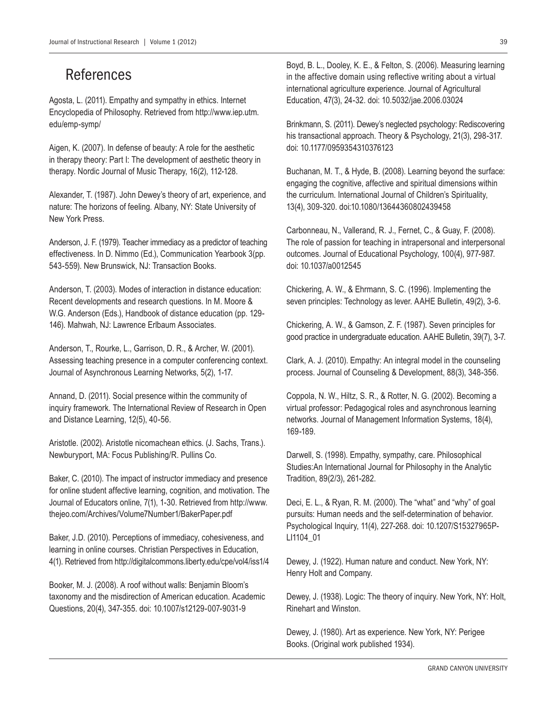## References

Agosta, L. (2011). Empathy and sympathy in ethics. Internet Encyclopedia of Philosophy. Retrieved from http://www.iep.utm. edu/emp-symp/

Aigen, K. (2007). In defense of beauty: A role for the aesthetic in therapy theory: Part I: The development of aesthetic theory in therapy. Nordic Journal of Music Therapy, 16(2), 112-128.

Alexander, T. (1987). John Dewey's theory of art, experience, and nature: The horizons of feeling. Albany, NY: State University of New York Press.

Anderson, J. F. (1979). Teacher immediacy as a predictor of teaching effectiveness. In D. Nimmo (Ed.), Communication Yearbook 3(pp. 543-559). New Brunswick, NJ: Transaction Books.

Anderson, T. (2003). Modes of interaction in distance education: Recent developments and research questions. In M. Moore & W.G. Anderson (Eds.), Handbook of distance education (pp. 129- 146). Mahwah, NJ: Lawrence Erlbaum Associates.

Anderson, T., Rourke, L., Garrison, D. R., & Archer, W. (2001). Assessing teaching presence in a computer conferencing context. Journal of Asynchronous Learning Networks, 5(2), 1-17.

Annand, D. (2011). Social presence within the community of inquiry framework. The International Review of Research in Open and Distance Learning, 12(5), 40-56.

Aristotle. (2002). Aristotle nicomachean ethics. (J. Sachs, Trans.). Newburyport, MA: Focus Publishing/R. Pullins Co.

Baker, C. (2010). The impact of instructor immediacy and presence for online student affective learning, cognition, and motivation. The Journal of Educators online, 7(1), 1-30. Retrieved from http://www. thejeo.com/Archives/Volume7Number1/BakerPaper.pdf

Baker, J.D. (2010). Perceptions of immediacy, cohesiveness, and learning in online courses. Christian Perspectives in Education, 4(1). Retrieved from http://digitalcommons.liberty.edu/cpe/vol4/iss1/4

Booker, M. J. (2008). A roof without walls: Benjamin Bloom's taxonomy and the misdirection of American education. Academic Questions, 20(4), 347-355. doi: 10.1007/s12129-007-9031-9

Boyd, B. L., Dooley, K. E., & Felton, S. (2006). Measuring learning in the affective domain using reflective writing about a virtual international agriculture experience. Journal of Agricultural Education, 47(3), 24-32. doi: 10.5032/jae.2006.03024

Brinkmann, S. (2011). Dewey's neglected psychology: Rediscovering his transactional approach. Theory & Psychology, 21(3), 298-317. doi: 10.1177/0959354310376123

Buchanan, M. T., & Hyde, B. (2008). Learning beyond the surface: engaging the cognitive, affective and spiritual dimensions within the curriculum. International Journal of Children's Spirituality, 13(4), 309-320. doi:10.1080/13644360802439458

Carbonneau, N., Vallerand, R. J., Fernet, C., & Guay, F. (2008). The role of passion for teaching in intrapersonal and interpersonal outcomes. Journal of Educational Psychology, 100(4), 977-987. doi: 10.1037/a0012545

Chickering, A. W., & Ehrmann, S. C. (1996). Implementing the seven principles: Technology as lever. AAHE Bulletin, 49(2), 3-6.

Chickering, A. W., & Gamson, Z. F. (1987). Seven principles for good practice in undergraduate education. AAHE Bulletin, 39(7), 3-7.

Clark, A. J. (2010). Empathy: An integral model in the counseling process. Journal of Counseling & Development, 88(3), 348-356.

Coppola, N. W., Hiltz, S. R., & Rotter, N. G. (2002). Becoming a virtual professor: Pedagogical roles and asynchronous learning networks. Journal of Management Information Systems, 18(4), 169-189.

Darwell, S. (1998). Empathy, sympathy, care. Philosophical Studies:An International Journal for Philosophy in the Analytic Tradition, 89(2/3), 261-282.

Deci, E. L., & Ryan, R. M. (2000). The "what" and "why" of goal pursuits: Human needs and the self-determination of behavior. Psychological Inquiry, 11(4), 227-268. doi: 10.1207/S15327965P-LI1104\_01

Dewey, J. (1922). Human nature and conduct. New York, NY: Henry Holt and Company.

Dewey, J. (1938). Logic: The theory of inquiry. New York, NY: Holt, Rinehart and Winston.

Dewey, J. (1980). Art as experience. New York, NY: Perigee Books. (Original work published 1934).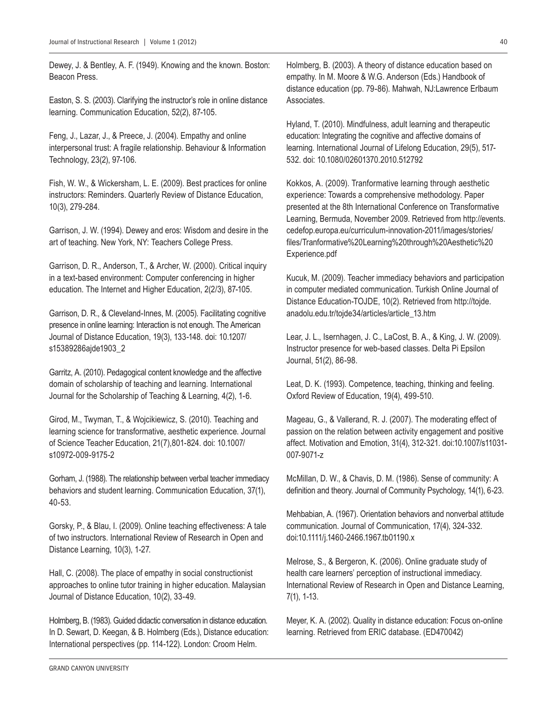Dewey, J. & Bentley, A. F. (1949). Knowing and the known. Boston: Beacon Press.

Easton, S. S. (2003). Clarifying the instructor's role in online distance learning. Communication Education, 52(2), 87-105.

Feng, J., Lazar, J., & Preece, J. (2004). Empathy and online interpersonal trust: A fragile relationship. Behaviour & Information Technology, 23(2), 97-106.

Fish, W. W., & Wickersham, L. E. (2009). Best practices for online instructors: Reminders. Quarterly Review of Distance Education, 10(3), 279-284.

Garrison, J. W. (1994). Dewey and eros: Wisdom and desire in the art of teaching. New York, NY: Teachers College Press.

Garrison, D. R., Anderson, T., & Archer, W. (2000). Critical inquiry in a text-based environment: Computer conferencing in higher education. The Internet and Higher Education, 2(2/3), 87-105.

Garrison, D. R., & Cleveland-Innes, M. (2005). Facilitating cognitive presence in online learning: Interaction is not enough. The American Journal of Distance Education, 19(3), 133-148. doi: 10.1207/ s15389286ajde1903\_2

Garritz, A. (2010). Pedagogical content knowledge and the affective domain of scholarship of teaching and learning. International Journal for the Scholarship of Teaching & Learning, 4(2), 1-6.

Girod, M., Twyman, T., & Wojcikiewicz, S. (2010). Teaching and learning science for transformative, aesthetic experience. Journal of Science Teacher Education, 21(7),801-824. doi: 10.1007/ s10972-009-9175-2

Gorham, J. (1988). The relationship between verbal teacher immediacy behaviors and student learning. Communication Education, 37(1), 40-53.

Gorsky, P., & Blau, I. (2009). Online teaching effectiveness: A tale of two instructors. International Review of Research in Open and Distance Learning, 10(3), 1-27.

Hall, C. (2008). The place of empathy in social constructionist approaches to online tutor training in higher education. Malaysian Journal of Distance Education, 10(2), 33-49.

Holmberg, B. (1983). Guided didactic conversation in distance education. In D. Sewart, D. Keegan, & B. Holmberg (Eds.), Distance education: International perspectives (pp. 114-122). London: Croom Helm.

Holmberg, B. (2003). A theory of distance education based on empathy. In M. Moore & W.G. Anderson (Eds.) Handbook of distance education (pp. 79-86). Mahwah, NJ:Lawrence Erlbaum Associates.

Hyland, T. (2010). Mindfulness, adult learning and therapeutic education: Integrating the cognitive and affective domains of learning. International Journal of Lifelong Education, 29(5), 517- 532. doi: 10.1080/02601370.2010.512792

Kokkos, A. (2009). Tranformative learning through aesthetic experience: Towards a comprehensive methodology. Paper presented at the 8th International Conference on Transformative Learning, Bermuda, November 2009. Retrieved from http://events. cedefop.europa.eu/curriculum-innovation-2011/images/stories/ files/Tranformative%20Learning%20through%20Aesthetic%20 Experience.pdf

Kucuk, M. (2009). Teacher immediacy behaviors and participation in computer mediated communication. Turkish Online Journal of Distance Education-TOJDE, 10(2). Retrieved from http://tojde. anadolu.edu.tr/tojde34/articles/article\_13.htm

Lear, J. L., Isernhagen, J. C., LaCost, B. A., & King, J. W. (2009). Instructor presence for web-based classes. Delta Pi Epsilon Journal, 51(2), 86-98.

Leat, D. K. (1993). Competence, teaching, thinking and feeling. Oxford Review of Education, 19(4), 499-510.

Mageau, G., & Vallerand, R. J. (2007). The moderating effect of passion on the relation between activity engagement and positive affect. Motivation and Emotion, 31(4), 312-321. doi:10.1007/s11031- 007-9071-z

McMillan, D. W., & Chavis, D. M. (1986). Sense of community: A definition and theory. Journal of Community Psychology, 14(1), 6-23.

Mehbabian, A. (1967). Orientation behaviors and nonverbal attitude communication. Journal of Communication, 17(4), 324-332. doi:10.1111/j.1460-2466.1967.tb01190.x

Melrose, S., & Bergeron, K. (2006). Online graduate study of health care learners' perception of instructional immediacy. International Review of Research in Open and Distance Learning, 7(1), 1-13.

Meyer, K. A. (2002). Quality in distance education: Focus on-online learning. Retrieved from ERIC database. (ED470042)